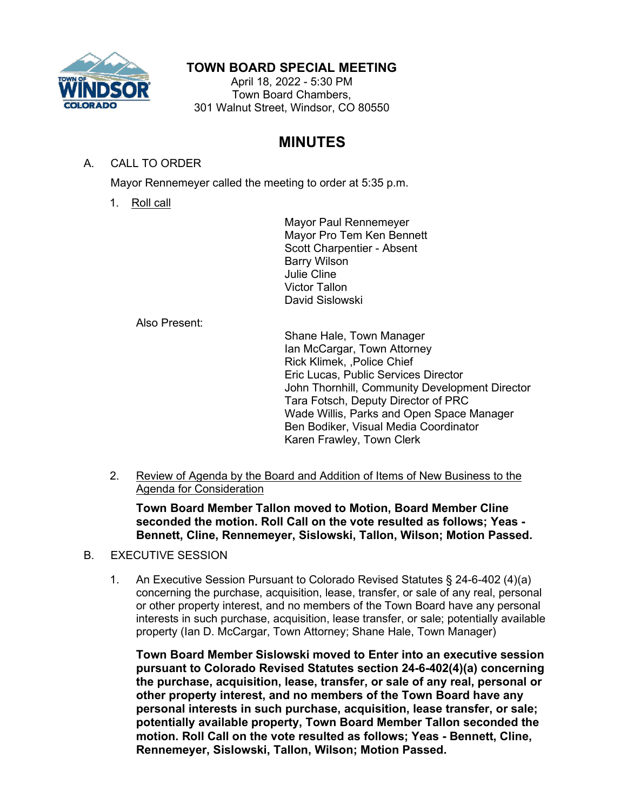

## **TOWN BOARD SPECIAL MEETING**

April 18, 2022 - 5:30 PM Town Board Chambers, 301 Walnut Street, Windsor, CO 80550

# **MINUTES**

### A. CALL TO ORDER

Mayor Rennemeyer called the meeting to order at 5:35 p.m.

1. Roll call

Mayor Paul Rennemeyer Mayor Pro Tem Ken Bennett Scott Charpentier - Absent Barry Wilson Julie Cline Victor Tallon David Sislowski

Also Present:

Shane Hale, Town Manager Ian McCargar, Town Attorney Rick Klimek, ,Police Chief Eric Lucas, Public Services Director John Thornhill, Community Development Director Tara Fotsch, Deputy Director of PRC Wade Willis, Parks and Open Space Manager Ben Bodiker, Visual Media Coordinator Karen Frawley, Town Clerk

2. Review of Agenda by the Board and Addition of Items of New Business to the Agenda for Consideration

**Town Board Member Tallon moved to Motion, Board Member Cline seconded the motion. Roll Call on the vote resulted as follows; Yeas - Bennett, Cline, Rennemeyer, Sislowski, Tallon, Wilson; Motion Passed.**

- B. EXECUTIVE SESSION
	- 1. An Executive Session Pursuant to Colorado Revised Statutes § 24-6-402 (4)(a) concerning the purchase, acquisition, lease, transfer, or sale of any real, personal or other property interest, and no members of the Town Board have any personal interests in such purchase, acquisition, lease transfer, or sale; potentially available property (Ian D. McCargar, Town Attorney; Shane Hale, Town Manager)

**Town Board Member Sislowski moved to Enter into an executive session pursuant to Colorado Revised Statutes section 24-6-402(4)(a) concerning the purchase, acquisition, lease, transfer, or sale of any real, personal or other property interest, and no members of the Town Board have any personal interests in such purchase, acquisition, lease transfer, or sale; potentially available property, Town Board Member Tallon seconded the motion. Roll Call on the vote resulted as follows; Yeas - Bennett, Cline, Rennemeyer, Sislowski, Tallon, Wilson; Motion Passed.**